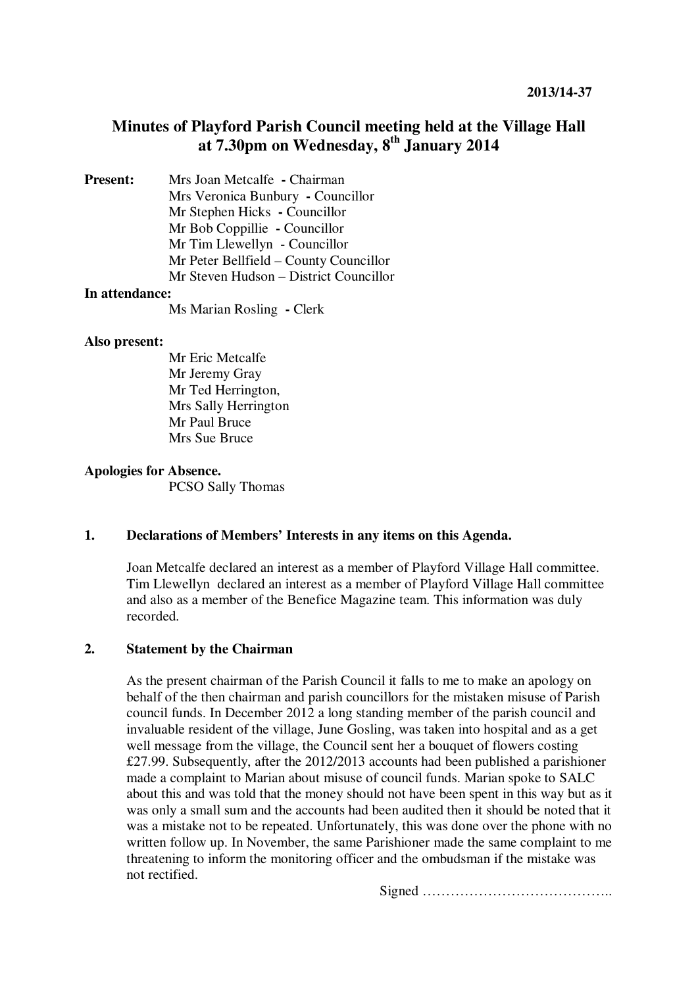# **Minutes of Playford Parish Council meeting held at the Village Hall at 7.30pm on Wednesday, 8th January 2014**

**Present:** Mrs Joan Metcalfe **- Chairman** Mrs Veronica Bunbury **-** Councillor Mr Stephen Hicks **-** Councillor Mr Bob Coppillie **-** Councillor Mr Tim Llewellyn - Councillor Mr Peter Bellfield – County Councillor Mr Steven Hudson – District Councillor

# **In attendance:**

Ms Marian Rosling **-** Clerk

#### **Also present:**

Mr Eric Metcalfe Mr Jeremy Gray Mr Ted Herrington, Mrs Sally Herrington Mr Paul Bruce Mrs Sue Bruce

#### **Apologies for Absence.**

PCSO Sally Thomas

# **1. Declarations of Members' Interests in any items on this Agenda.**

Joan Metcalfe declared an interest as a member of Playford Village Hall committee. Tim Llewellyndeclared an interest as a member of Playford Village Hall committee and also as a member of the Benefice Magazine team. This information was duly recorded.

# **2. Statement by the Chairman**

As the present chairman of the Parish Council it falls to me to make an apology on behalf of the then chairman and parish councillors for the mistaken misuse of Parish council funds. In December 2012 a long standing member of the parish council and invaluable resident of the village, June Gosling, was taken into hospital and as a get well message from the village, the Council sent her a bouquet of flowers costing £27.99. Subsequently, after the 2012/2013 accounts had been published a parishioner made a complaint to Marian about misuse of council funds. Marian spoke to SALC about this and was told that the money should not have been spent in this way but as it was only a small sum and the accounts had been audited then it should be noted that it was a mistake not to be repeated. Unfortunately, this was done over the phone with no written follow up. In November, the same Parishioner made the same complaint to me threatening to inform the monitoring officer and the ombudsman if the mistake was not rectified.

Signed …………………………………..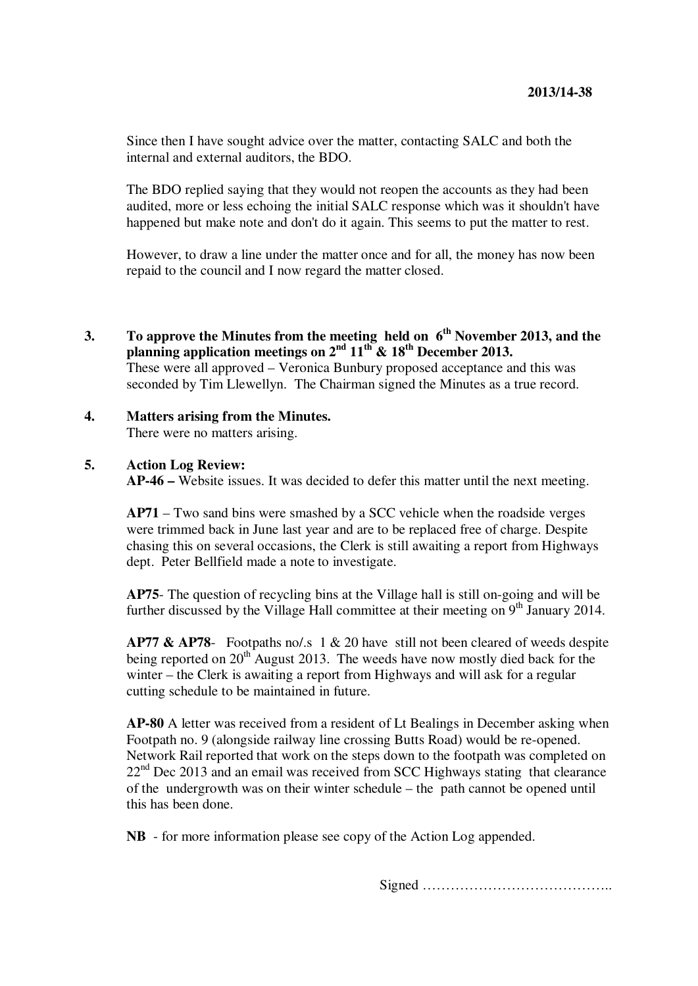Since then I have sought advice over the matter, contacting SALC and both the internal and external auditors, the BDO.

The BDO replied saying that they would not reopen the accounts as they had been audited, more or less echoing the initial SALC response which was it shouldn't have happened but make note and don't do it again. This seems to put the matter to rest.

However, to draw a line under the matter once and for all, the money has now been repaid to the council and I now regard the matter closed.

- **3. To approve the Minutes from the meeting held on 6th November 2013, and the planning application meetings on 2nd 11th & 18th December 2013.**  These were all approved – Veronica Bunbury proposed acceptance and this was seconded by Tim Llewellyn. The Chairman signed the Minutes as a true record.
- **4. Matters arising from the Minutes.** There were no matters arising.

### **5. Action Log Review:**

**AP-46 –** Website issues. It was decided to defer this matter until the next meeting.

**AP71** – Two sand bins were smashed by a SCC vehicle when the roadside verges were trimmed back in June last year and are to be replaced free of charge. Despite chasing this on several occasions, the Clerk is still awaiting a report from Highways dept. Peter Bellfield made a note to investigate.

**AP75**- The question of recycling bins at the Village hall is still on-going and will be further discussed by the Village Hall committee at their meeting on  $9<sup>th</sup>$  January 2014.

**AP77 & AP78**- Footpaths no/.s 1 & 20 have still not been cleared of weeds despite being reported on  $20<sup>th</sup>$  August 2013. The weeds have now mostly died back for the winter – the Clerk is awaiting a report from Highways and will ask for a regular cutting schedule to be maintained in future.

**AP-80** A letter was received from a resident of Lt Bealings in December asking when Footpath no. 9 (alongside railway line crossing Butts Road) would be re-opened. Network Rail reported that work on the steps down to the footpath was completed on  $22<sup>nd</sup>$  Dec 2013 and an email was received from SCC Highways stating that clearance of the undergrowth was on their winter schedule – the path cannot be opened until this has been done.

**NB** - for more information please see copy of the Action Log appended.

Signed …………………………………..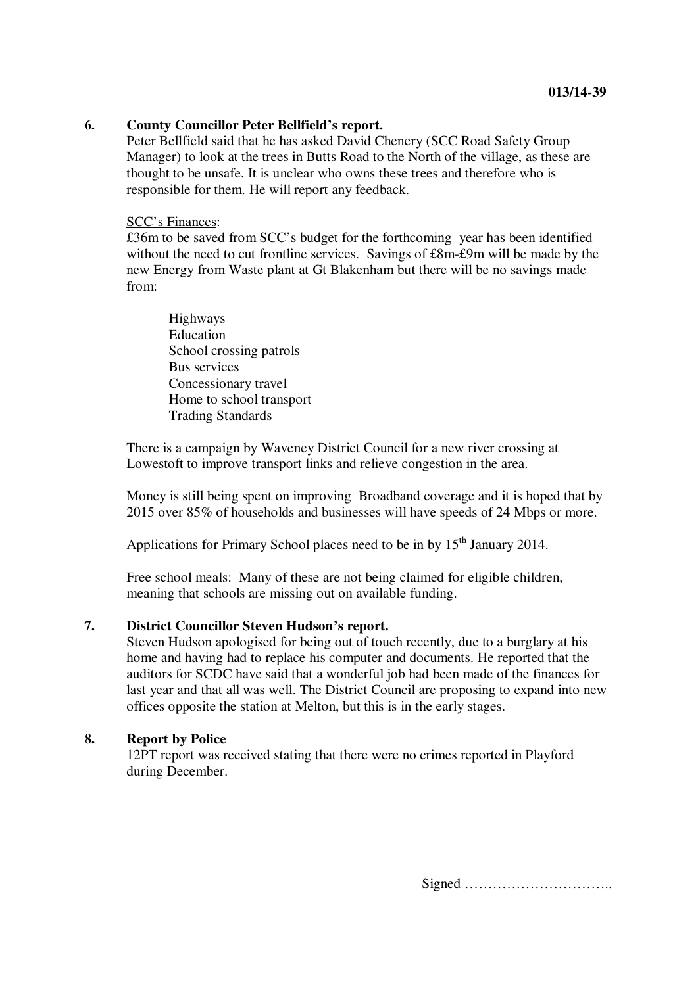# **6. County Councillor Peter Bellfield's report.**

Peter Bellfield said that he has asked David Chenery (SCC Road Safety Group Manager) to look at the trees in Butts Road to the North of the village, as these are thought to be unsafe. It is unclear who owns these trees and therefore who is responsible for them. He will report any feedback.

#### SCC's Finances:

£36m to be saved from SCC's budget for the forthcoming year has been identified without the need to cut frontline services. Savings of £8m-£9m will be made by the new Energy from Waste plant at Gt Blakenham but there will be no savings made from:

Highways Education School crossing patrols Bus services Concessionary travel Home to school transport Trading Standards

There is a campaign by Waveney District Council for a new river crossing at Lowestoft to improve transport links and relieve congestion in the area.

Money is still being spent on improving Broadband coverage and it is hoped that by 2015 over 85% of households and businesses will have speeds of 24 Mbps or more.

Applications for Primary School places need to be in by 15<sup>th</sup> January 2014.

Free school meals: Many of these are not being claimed for eligible children, meaning that schools are missing out on available funding.

# **7. District Councillor Steven Hudson's report.**

Steven Hudson apologised for being out of touch recently, due to a burglary at his home and having had to replace his computer and documents. He reported that the auditors for SCDC have said that a wonderful job had been made of the finances for last year and that all was well. The District Council are proposing to expand into new offices opposite the station at Melton, but this is in the early stages.

### **8. Report by Police**

12PT report was received stating that there were no crimes reported in Playford during December.

Signed …………………………..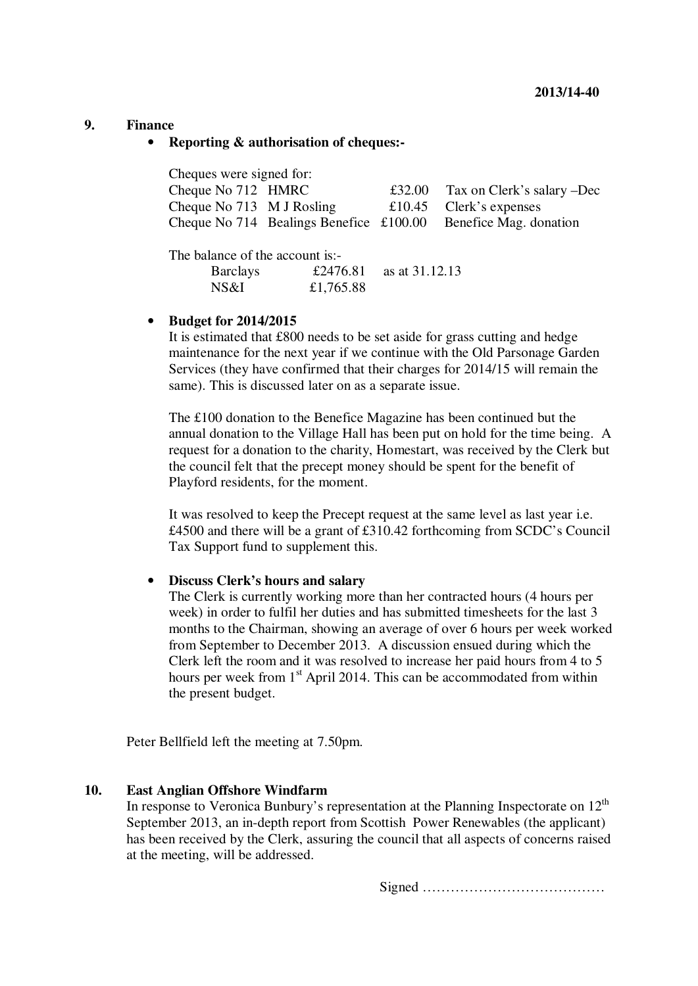### **9. Finance**

#### • **Reporting & authorisation of cheques:-**

| Cheques were signed for:  |                                               |        |                            |  |  |
|---------------------------|-----------------------------------------------|--------|----------------------------|--|--|
| Cheque No 712 HMRC        |                                               | £32.00 | Tax on Clerk's salary –Dec |  |  |
| Cheque No 713 M J Rosling |                                               |        | £10.45 Clerk's expenses    |  |  |
|                           | Cheque No. 714 Bealings Benefice $\pm 100.00$ |        | Benefice Mag. donation     |  |  |

The balance of the account is:-

| <b>Barclays</b> |           | £2476.81 as at $31.12.13$ |
|-----------------|-----------|---------------------------|
| NS&I            | £1,765.88 |                           |

### • **Budget for 2014/2015**

It is estimated that £800 needs to be set aside for grass cutting and hedge maintenance for the next year if we continue with the Old Parsonage Garden Services (they have confirmed that their charges for 2014/15 will remain the same). This is discussed later on as a separate issue.

The £100 donation to the Benefice Magazine has been continued but the annual donation to the Village Hall has been put on hold for the time being. A request for a donation to the charity, Homestart, was received by the Clerk but the council felt that the precept money should be spent for the benefit of Playford residents, for the moment.

It was resolved to keep the Precept request at the same level as last year i.e. £4500 and there will be a grant of £310.42 forthcoming from SCDC's Council Tax Support fund to supplement this.

#### • **Discuss Clerk's hours and salary**

The Clerk is currently working more than her contracted hours (4 hours per week) in order to fulfil her duties and has submitted timesheets for the last 3 months to the Chairman, showing an average of over 6 hours per week worked from September to December 2013. A discussion ensued during which the Clerk left the room and it was resolved to increase her paid hours from 4 to 5 hours per week from  $1<sup>st</sup>$  April 2014. This can be accommodated from within the present budget.

Peter Bellfield left the meeting at 7.50pm.

## **10. East Anglian Offshore Windfarm**

In response to Veronica Bunbury's representation at the Planning Inspectorate on  $12<sup>th</sup>$ September 2013, an in-depth report from Scottish Power Renewables (the applicant) has been received by the Clerk, assuring the council that all aspects of concerns raised at the meeting, will be addressed.

Signed …………………………………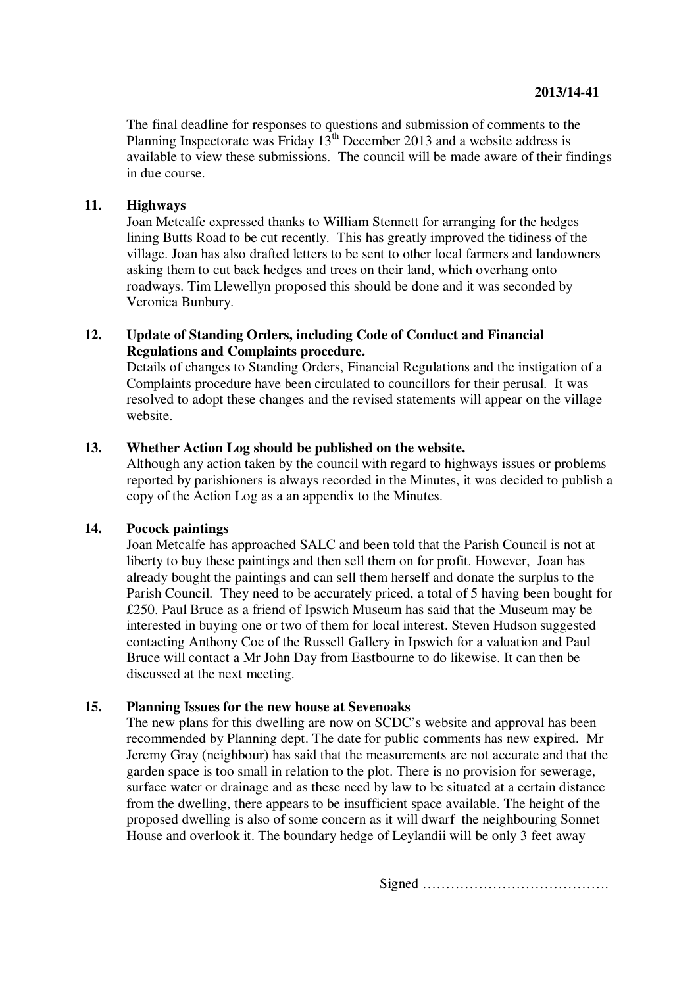The final deadline for responses to questions and submission of comments to the Planning Inspectorate was Friday  $13^{th}$  December 2013 and a website address is available to view these submissions. The council will be made aware of their findings in due course.

# **11. Highways**

Joan Metcalfe expressed thanks to William Stennett for arranging for the hedges lining Butts Road to be cut recently. This has greatly improved the tidiness of the village. Joan has also drafted letters to be sent to other local farmers and landowners asking them to cut back hedges and trees on their land, which overhang onto roadways. Tim Llewellyn proposed this should be done and it was seconded by Veronica Bunbury.

# **12. Update of Standing Orders, including Code of Conduct and Financial Regulations and Complaints procedure.**

Details of changes to Standing Orders, Financial Regulations and the instigation of a Complaints procedure have been circulated to councillors for their perusal. It was resolved to adopt these changes and the revised statements will appear on the village website.

# **13. Whether Action Log should be published on the website.**

Although any action taken by the council with regard to highways issues or problems reported by parishioners is always recorded in the Minutes, it was decided to publish a copy of the Action Log as a an appendix to the Minutes.

# **14. Pocock paintings**

Joan Metcalfe has approached SALC and been told that the Parish Council is not at liberty to buy these paintings and then sell them on for profit. However, Joan has already bought the paintings and can sell them herself and donate the surplus to the Parish Council. They need to be accurately priced, a total of 5 having been bought for £250. Paul Bruce as a friend of Ipswich Museum has said that the Museum may be interested in buying one or two of them for local interest. Steven Hudson suggested contacting Anthony Coe of the Russell Gallery in Ipswich for a valuation and Paul Bruce will contact a Mr John Day from Eastbourne to do likewise. It can then be discussed at the next meeting.

# **15. Planning Issues for the new house at Sevenoaks**

The new plans for this dwelling are now on SCDC's website and approval has been recommended by Planning dept. The date for public comments has new expired. Mr Jeremy Gray (neighbour) has said that the measurements are not accurate and that the garden space is too small in relation to the plot. There is no provision for sewerage, surface water or drainage and as these need by law to be situated at a certain distance from the dwelling, there appears to be insufficient space available. The height of the proposed dwelling is also of some concern as it will dwarf the neighbouring Sonnet House and overlook it. The boundary hedge of Leylandii will be only 3 feet away

Signed ………………………………….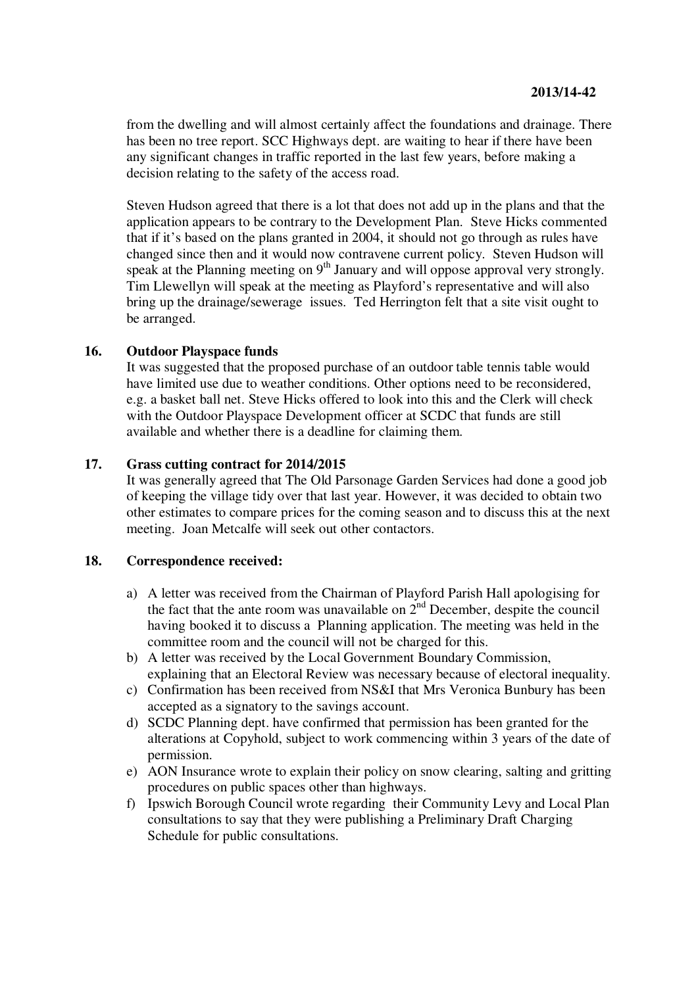from the dwelling and will almost certainly affect the foundations and drainage. There has been no tree report. SCC Highways dept. are waiting to hear if there have been any significant changes in traffic reported in the last few years, before making a decision relating to the safety of the access road.

Steven Hudson agreed that there is a lot that does not add up in the plans and that the application appears to be contrary to the Development Plan. Steve Hicks commented that if it's based on the plans granted in 2004, it should not go through as rules have changed since then and it would now contravene current policy. Steven Hudson will speak at the Planning meeting on  $9<sup>th</sup>$  January and will oppose approval very strongly. Tim Llewellyn will speak at the meeting as Playford's representative and will also bring up the drainage/sewerage issues. Ted Herrington felt that a site visit ought to be arranged.

# **16. Outdoor Playspace funds**

It was suggested that the proposed purchase of an outdoor table tennis table would have limited use due to weather conditions. Other options need to be reconsidered, e.g. a basket ball net. Steve Hicks offered to look into this and the Clerk will check with the Outdoor Playspace Development officer at SCDC that funds are still available and whether there is a deadline for claiming them.

# **17. Grass cutting contract for 2014/2015**

It was generally agreed that The Old Parsonage Garden Services had done a good job of keeping the village tidy over that last year. However, it was decided to obtain two other estimates to compare prices for the coming season and to discuss this at the next meeting. Joan Metcalfe will seek out other contactors.

# **18. Correspondence received:**

- a) A letter was received from the Chairman of Playford Parish Hall apologising for the fact that the ante room was unavailable on  $2<sup>nd</sup>$  December, despite the council having booked it to discuss a Planning application. The meeting was held in the committee room and the council will not be charged for this.
- b) A letter was received by the Local Government Boundary Commission, explaining that an Electoral Review was necessary because of electoral inequality.
- c) Confirmation has been received from NS&I that Mrs Veronica Bunbury has been accepted as a signatory to the savings account.
- d) SCDC Planning dept. have confirmed that permission has been granted for the alterations at Copyhold, subject to work commencing within 3 years of the date of permission.
- e) AON Insurance wrote to explain their policy on snow clearing, salting and gritting procedures on public spaces other than highways.
- f) Ipswich Borough Council wrote regarding their Community Levy and Local Plan consultations to say that they were publishing a Preliminary Draft Charging Schedule for public consultations.